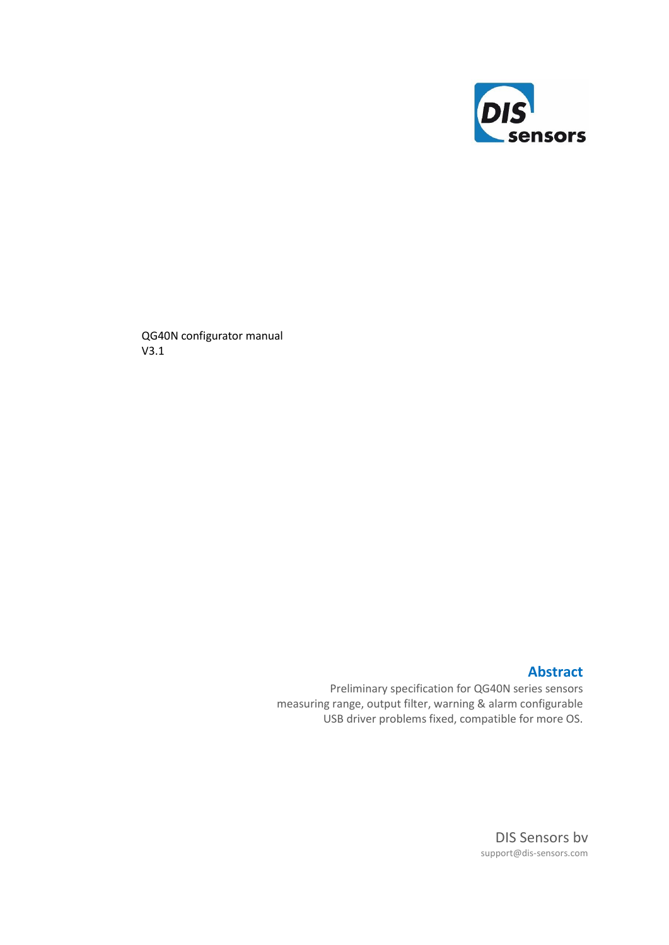

QG40N configurator manual V3.1

## **Abstract**

Preliminary specification for QG40N series sensors measuring range, output filter, warning & alarm configurable USB driver problems fixed, compatible for more OS.

> DIS Sensors bv support@dis-sensors.com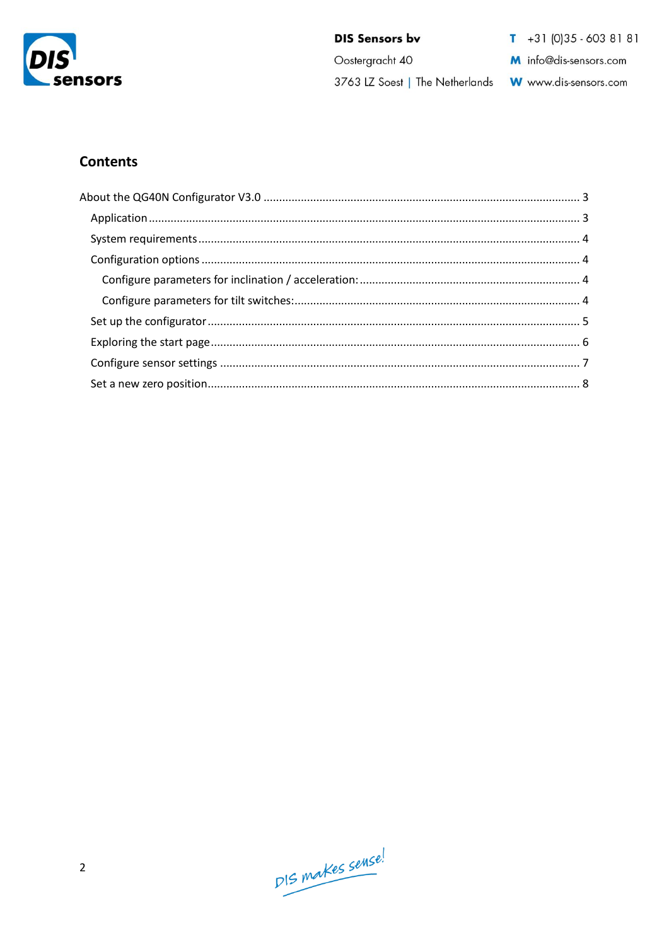

Oostergracht 40

 $T + 31(0)35 - 6038181$ 

M info@dis-sensors.com

3763 LZ Soest | The Netherlands Www.dis-sensors.com

# **Contents**

DIS makes sense!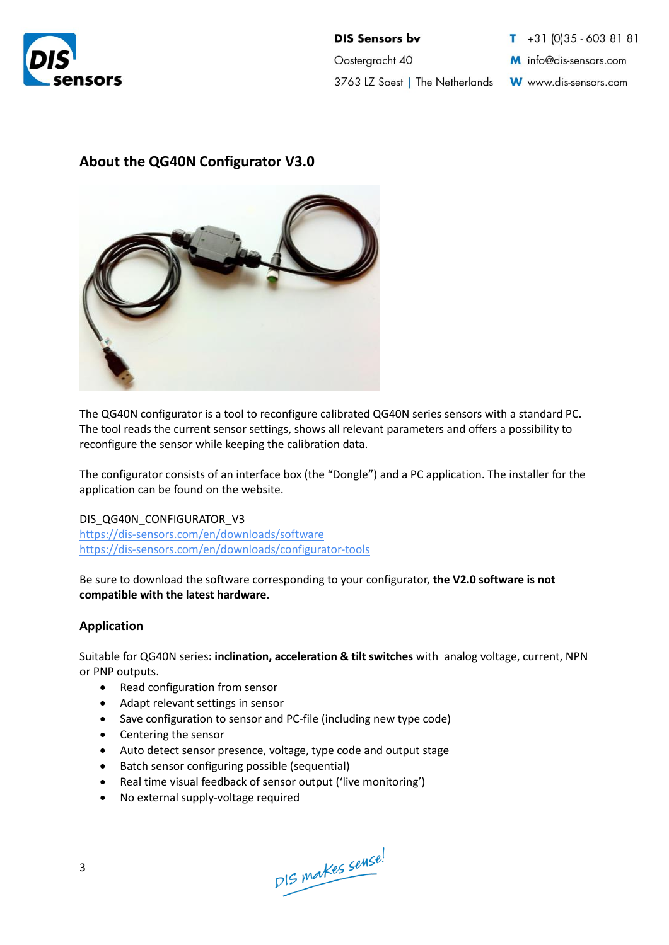

**DIS Sensors by** Oostergracht 40 3763 LZ Soest | The Netherlands

 $\overline{1}$  +31 (0) 35 - 603 81 81 M info@dis-sensors.com

W www.dis-sensors.com

# <span id="page-2-0"></span>**About the QG40N Configurator V3.0**



The QG40N configurator is a tool to reconfigure calibrated QG40N series sensors with a standard PC. The tool reads the current sensor settings, shows all relevant parameters and offers a possibility to reconfigure the sensor while keeping the calibration data.

The configurator consists of an interface box (the "Dongle") and a PC application. The installer for the application can be found on the website.

DIS\_QG40N\_CONFIGURATOR\_V3 <https://dis-sensors.com/en/downloads/software> <https://dis-sensors.com/en/downloads/configurator-tools>

Be sure to download the software corresponding to your configurator, **the V2.0 software is not compatible with the latest hardware**.

## <span id="page-2-1"></span>**Application**

Suitable for QG40N series**: inclination, acceleration & tilt switches** with analog voltage, current, NPN or PNP outputs.

- Read configuration from sensor
- Adapt relevant settings in sensor
- Save configuration to sensor and PC-file (including new type code)
- Centering the sensor
- Auto detect sensor presence, voltage, type code and output stage
- Batch sensor configuring possible (sequential)
- Real time visual feedback of sensor output ('live monitoring')
- No external supply-voltage required

DIS makes sense!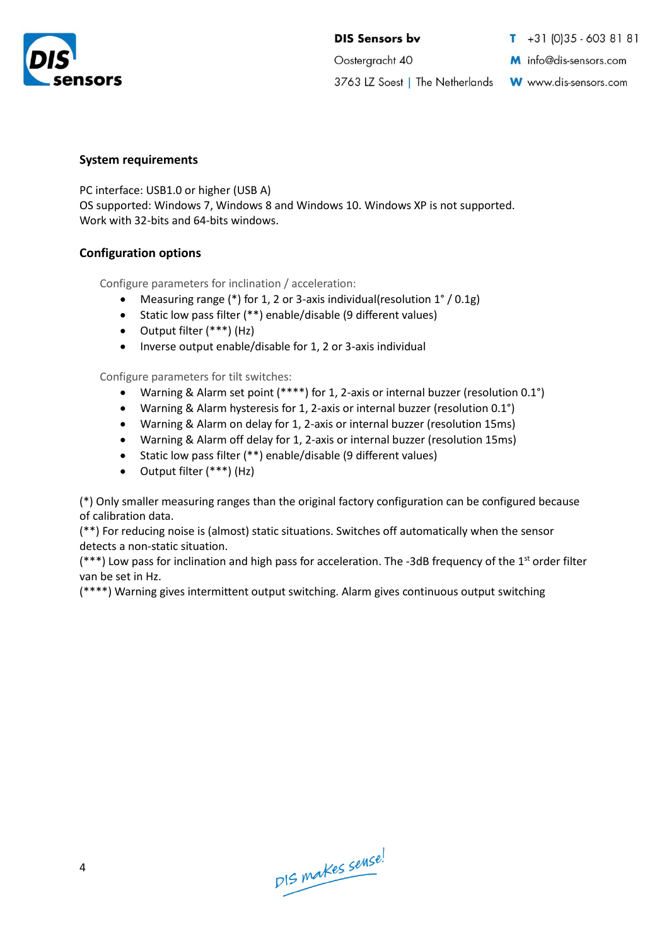

Oostergracht 40

 $T + 31(0)35 - 6038181$ 

M info@dis-sensors.com

3763 LZ Soest | The Netherlands W www.dis-sensors.com

### <span id="page-3-0"></span>**System requirements**

PC interface: USB1.0 or higher (USB A) OS supported: Windows 7, Windows 8 and Windows 10. Windows XP is not supported. Work with 32-bits and 64-bits windows.

## <span id="page-3-1"></span>**Configuration options**

<span id="page-3-2"></span>Configure parameters for inclination / acceleration:

- Measuring range (\*) for 1, 2 or 3-axis individual(resolution 1° / 0.1g)
- Static low pass filter (\*\*) enable/disable (9 different values)
- Output filter (\*\*\*) (Hz)
- Inverse output enable/disable for 1, 2 or 3-axis individual

<span id="page-3-3"></span>Configure parameters for tilt switches:

- Warning & Alarm set point (\*\*\*\*) for 1, 2-axis or internal buzzer (resolution 0.1°)
- Warning & Alarm hysteresis for 1, 2-axis or internal buzzer (resolution 0.1°)
- Warning & Alarm on delay for 1, 2-axis or internal buzzer (resolution 15ms)
- Warning & Alarm off delay for 1, 2-axis or internal buzzer (resolution 15ms)
- Static low pass filter (\*\*) enable/disable (9 different values)
- Output filter (\*\*\*) (Hz)

(\*) Only smaller measuring ranges than the original factory configuration can be configured because of calibration data.

(\*\*) For reducing noise is (almost) static situations. Switches off automatically when the sensor detects a non-static situation.

 $(***)$  Low pass for inclination and high pass for acceleration. The -3dB frequency of the 1st order filter van be set in Hz.

(\*\*\*\*) Warning gives intermittent output switching. Alarm gives continuous output switching

DIS makes sense!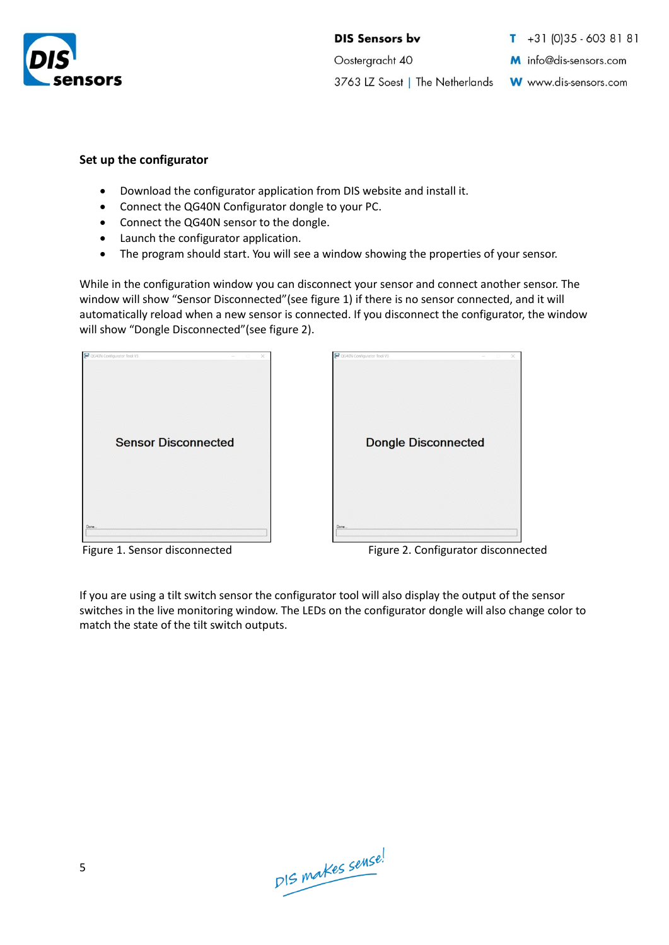

Oostergracht 40

 $\overline{1}$  +31 (0) 35 - 603 81 81

M info@dis-sensors.com

3763 LZ Soest | The Netherlands

W www.dis-sensors.com

#### <span id="page-4-0"></span>**Set up the configurator**

- Download the configurator application from DIS website and install it.
- Connect the QG40N Configurator dongle to your PC.
- Connect the QG40N sensor to the dongle.
- Launch the configurator application.
- The program should start. You will see a window showing the properties of your sensor.

While in the configuration window you can disconnect your sensor and connect another sensor. The window will show "Sensor Disconnected"(see figure 1) if there is no sensor connected, and it will automatically reload when a new sensor is connected. If you disconnect the configurator, the window will show "Dongle Disconnected"(see figure 2).





Figure 1. Sensor disconnected Figure 2. Configurator disconnected

If you are using a tilt switch sensor the configurator tool will also display the output of the sensor switches in the live monitoring window. The LEDs on the configurator dongle will also change color to match the state of the tilt switch outputs.

DIS makes sense!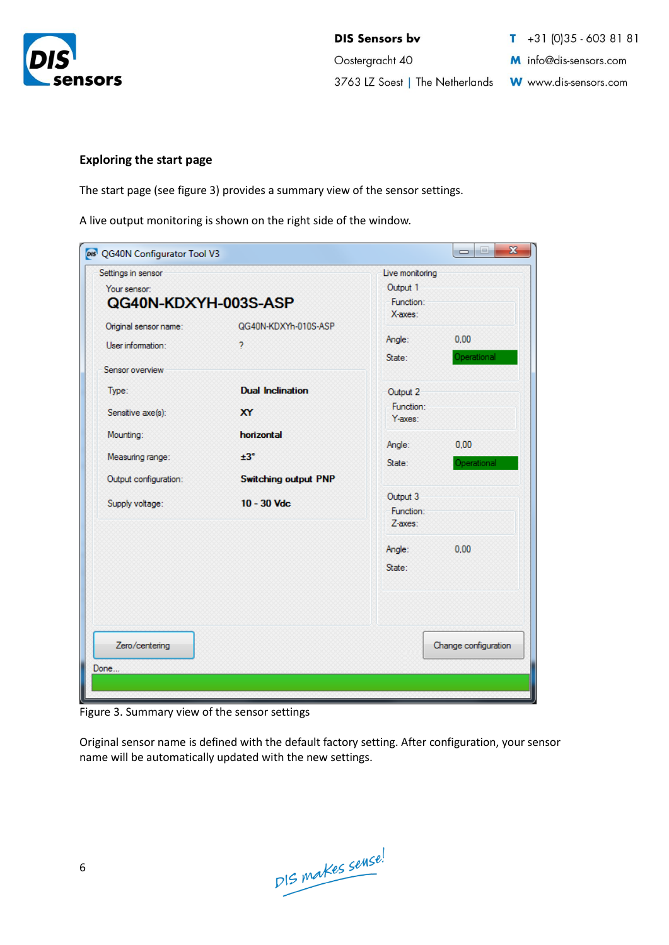

**DIS Sensors by** Oostergracht 40 3763 LZ Soest | The Netherlands W www.dis-sensors.com

 $1 + 31 (0)35 - 603 81 81$ M info@dis-sensors.com

#### <span id="page-5-0"></span>**Exploring the start page**

The start page (see figure 3) provides a summary view of the sensor settings.

A live output monitoring is shown on the right side of the window.

| Settings in sensor                         | Live monitoring                                  |                                  |                      |
|--------------------------------------------|--------------------------------------------------|----------------------------------|----------------------|
| Your sensor:                               | Output 1                                         |                                  |                      |
| QG40N-KDXYH-003S-ASP                       | Function:<br>X-axes:                             |                                  |                      |
| Original sensor name:<br>User information: | QG40N-KDXYh-010S-ASP<br>$\overline{\phantom{a}}$ | Angle:<br>State:                 | 0.00<br>Operational  |
| Sensor overview<br>Type:                   | <b>Dual Inclination</b>                          | Output 2                         |                      |
| Sensitive axe(s):                          | <b>XY</b>                                        | Function:<br>Y-axes:             |                      |
| Mounting:                                  | horizontal                                       | Angle:                           | 0.00                 |
| Measuring range:<br>Output configuration:  | ±3°<br><b>Switching output PNP</b>               | State:                           | Operational          |
| Supply voltage:                            | $10 - 30$ Vdc                                    | Output 3<br>Function:<br>Z-axes: |                      |
|                                            |                                                  | Angle:<br>State:                 | 0.00                 |
| Zero/centering                             |                                                  |                                  | Change configuration |
| Done                                       |                                                  |                                  |                      |
|                                            |                                                  |                                  |                      |

Figure 3. Summary view of the sensor settings

Original sensor name is defined with the default factory setting. After configuration, your sensor name will be automatically updated with the new settings.

DIS makes sense!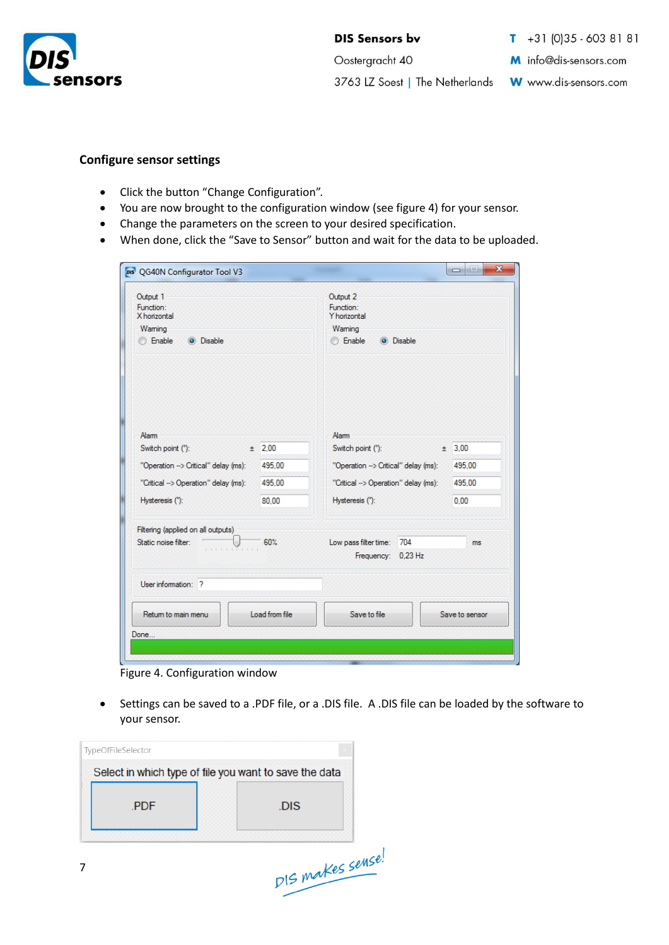

Oostergracht 40

3763 LZ Soest | The Netherlands

 $1 + 31 (0) 35 - 603 81 81$ 

M info@dis-sensors.com

W www.dis-sensors.com

#### <span id="page-6-0"></span>**Configure sensor settings**

- Click the button "Change Configuration".
- You are now brought to the configuration window (see figure 4) for your sensor.
- Change the parameters on the screen to your desired specification.
- When done, click the "Save to Sensor" button and wait for the data to be uploaded.

| Output 1                             |                | Output 2                                           |        |                |  |
|--------------------------------------|----------------|----------------------------------------------------|--------|----------------|--|
| Function:<br>X horizontal            |                | Function:<br>Y horizontal                          |        |                |  |
| Waming                               |                | Waming                                             |        |                |  |
| <b>Enable</b><br>O Disable           |                | <b>Enable</b><br><b>O</b> Disable                  |        |                |  |
|                                      |                |                                                    |        |                |  |
| Alarm<br>Switch point (°):           | $±$ 2.00       | Alam<br>Switch point (°):                          |        | ± 3.00         |  |
| "Operation --> Critical" delay (ms): | 495.00         | "Operation --> Critical" delay (ms):               |        | 495.00         |  |
|                                      |                |                                                    |        |                |  |
| "Critical --> Operation" delay (ms): | 495.00         | "Critical -> Operation" delay (ms):                | 495.00 |                |  |
| Hysteresis (°):                      | 80.00          | Hysteresis (°):                                    |        | 0.00           |  |
| Filtering (applied on all outputs)   |                |                                                    |        |                |  |
| Static noise filter:                 | 60%<br>.       | Low pass filter time:<br>704<br>Frequency: 0,23 Hz |        | ms.            |  |
| User information: ?                  |                |                                                    |        |                |  |
| Retum to main menu                   | Load from file | Save to file                                       |        | Save to sensor |  |

Figure 4. Configuration window

• Settings can be saved to a .PDF file, or a .DIS file. A .DIS file can be loaded by the software to your sensor.